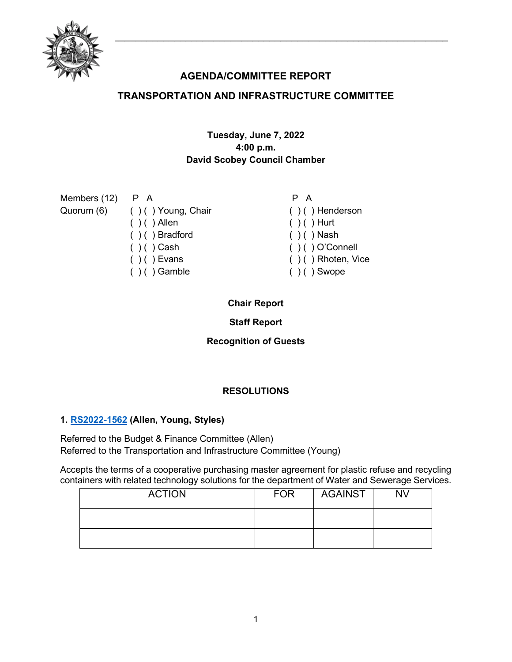

# **AGENDA/COMMITTEE REPORT**

# **TRANSPORTATION AND INFRASTRUCTURE COMMITTEE**

# **Tuesday, June 7, 2022 4:00 p.m. David Scobey Council Chamber**

| Members $(12)$ P A |                               | P A                    |
|--------------------|-------------------------------|------------------------|
|                    | Quorum (6) () () Young, Chair | $( )$ ( ) Henderson    |
|                    | $( ) ( )$ Allen               | $( ) ( )$ Hurt         |
|                    | $( ) ( )$ Bradford            | $( )$ ( ) Nash         |
|                    | $( ) ( )$ Cash                | $( ) ( )$ O'Connell    |
|                    | $( ) ( )$ Evans               | $( )$ ( ) Rhoten, Vice |
|                    | $( ) ( )$ Gamble              | $( ) ( )$ Swope        |

# **Chair Report**

**Staff Report**

**Recognition of Guests**

# **RESOLUTIONS**

# **1. [RS2022-1562](http://nashville.legistar.com/gateway.aspx?m=l&id=/matter.aspx?key=14577) (Allen, Young, Styles)**

Referred to the Budget & Finance Committee (Allen) Referred to the Transportation and Infrastructure Committee (Young)

Accepts the terms of a cooperative purchasing master agreement for plastic refuse and recycling containers with related technology solutions for the department of Water and Sewerage Services.

| <b>ACTION</b> | <b>FOR</b> | <b>AGAINST</b> | <b>NV</b> |
|---------------|------------|----------------|-----------|
|               |            |                |           |
|               |            |                |           |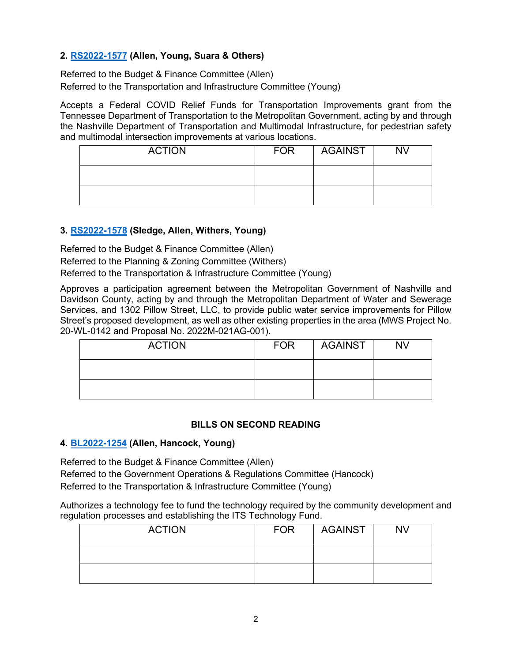# **2. [RS2022-1577](http://nashville.legistar.com/gateway.aspx?m=l&id=/matter.aspx?key=14585) (Allen, Young, Suara & Others)**

Referred to the Budget & Finance Committee (Allen) Referred to the Transportation and Infrastructure Committee (Young)

Accepts a Federal COVID Relief Funds for Transportation Improvements grant from the Tennessee Department of Transportation to the Metropolitan Government, acting by and through the Nashville Department of Transportation and Multimodal Infrastructure, for pedestrian safety and multimodal intersection improvements at various locations.

| <b>ACTION</b> | <b>FOR</b> | <b>AGAINST</b> | <b>NV</b> |
|---------------|------------|----------------|-----------|
|               |            |                |           |
|               |            |                |           |

### **3. [RS2022-1578](http://nashville.legistar.com/gateway.aspx?m=l&id=/matter.aspx?key=14598) (Sledge, Allen, Withers, Young)**

Referred to the Budget & Finance Committee (Allen)

Referred to the Planning & Zoning Committee (Withers)

Referred to the Transportation & Infrastructure Committee (Young)

Approves a participation agreement between the Metropolitan Government of Nashville and Davidson County, acting by and through the Metropolitan Department of Water and Sewerage Services, and 1302 Pillow Street, LLC, to provide public water service improvements for Pillow Street's proposed development, as well as other existing properties in the area (MWS Project No. 20-WL-0142 and Proposal No. 2022M-021AG-001).

| <b>ACTION</b> | <b>FOR</b> | <b>AGAINST</b> | <b>NV</b> |
|---------------|------------|----------------|-----------|
|               |            |                |           |
|               |            |                |           |

#### **BILLS ON SECOND READING**

#### **4. [BL2022-1254](http://nashville.legistar.com/gateway.aspx?m=l&id=/matter.aspx?key=14478) (Allen, Hancock, Young)**

Referred to the Budget & Finance Committee (Allen) Referred to the Government Operations & Regulations Committee (Hancock) Referred to the Transportation & Infrastructure Committee (Young)

Authorizes a technology fee to fund the technology required by the community development and regulation processes and establishing the ITS Technology Fund.

| <b>ACTION</b> | <b>FOR</b> | <b>AGAINST</b> | <b>NV</b> |
|---------------|------------|----------------|-----------|
|               |            |                |           |
|               |            |                |           |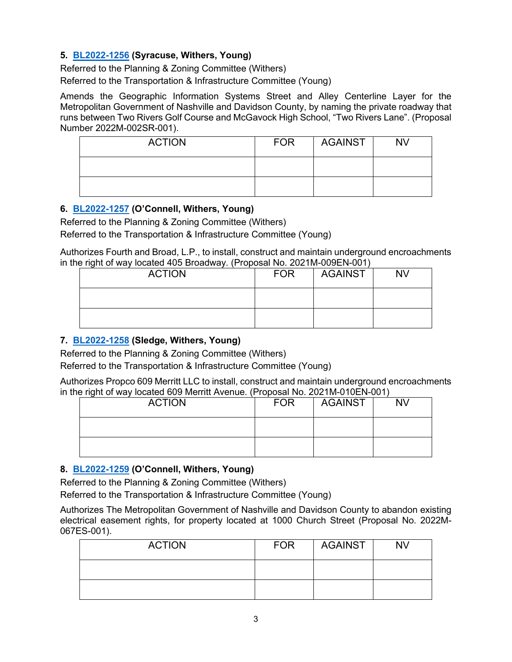# **5. [BL2022-1256](http://nashville.legistar.com/gateway.aspx?m=l&id=/matter.aspx?key=14442) (Syracuse, Withers, Young)**

Referred to the Planning & Zoning Committee (Withers) Referred to the Transportation & Infrastructure Committee (Young)

Amends the Geographic Information Systems Street and Alley Centerline Layer for the Metropolitan Government of Nashville and Davidson County, by naming the private roadway that runs between Two Rivers Golf Course and McGavock High School, "Two Rivers Lane". (Proposal Number 2022M-002SR-001).

| <b>ACTION</b> | <b>FOR</b> | AGAINST | <b>NV</b> |
|---------------|------------|---------|-----------|
|               |            |         |           |
|               |            |         |           |

### **6. [BL2022-1257](http://nashville.legistar.com/gateway.aspx?m=l&id=/matter.aspx?key=14464) (O'Connell, Withers, Young)**

Referred to the Planning & Zoning Committee (Withers) Referred to the Transportation & Infrastructure Committee (Young)

Authorizes Fourth and Broad, L.P., to install, construct and maintain underground encroachments in the right of way located 405 Broadway. (Proposal No. 2021M-009EN-001)

| <b>ACTION</b> | <b>FOR</b> | <b>AGAINST</b> | <b>NV</b> |
|---------------|------------|----------------|-----------|
|               |            |                |           |
|               |            |                |           |

# **7. [BL2022-1258](http://nashville.legistar.com/gateway.aspx?m=l&id=/matter.aspx?key=14465) (Sledge, Withers, Young)**

Referred to the Planning & Zoning Committee (Withers)

Referred to the Transportation & Infrastructure Committee (Young)

Authorizes Propco 609 Merritt LLC to install, construct and maintain underground encroachments in the right of way located 609 Merritt Avenue. (Proposal No. 2021M-010EN-001)

| <b>ACTION</b> | <b>FOR</b> | <b>AGAINST</b> | <b>NV</b> |
|---------------|------------|----------------|-----------|
|               |            |                |           |
|               |            |                |           |

#### **8. [BL2022-1259](http://nashville.legistar.com/gateway.aspx?m=l&id=/matter.aspx?key=14446) (O'Connell, Withers, Young)**

Referred to the Planning & Zoning Committee (Withers)

Referred to the Transportation & Infrastructure Committee (Young)

Authorizes The Metropolitan Government of Nashville and Davidson County to abandon existing electrical easement rights, for property located at 1000 Church Street (Proposal No. 2022M-067ES-001).

| <b>ACTION</b> | <b>FOR</b> | AGAINST | <b>NV</b> |
|---------------|------------|---------|-----------|
|               |            |         |           |
|               |            |         |           |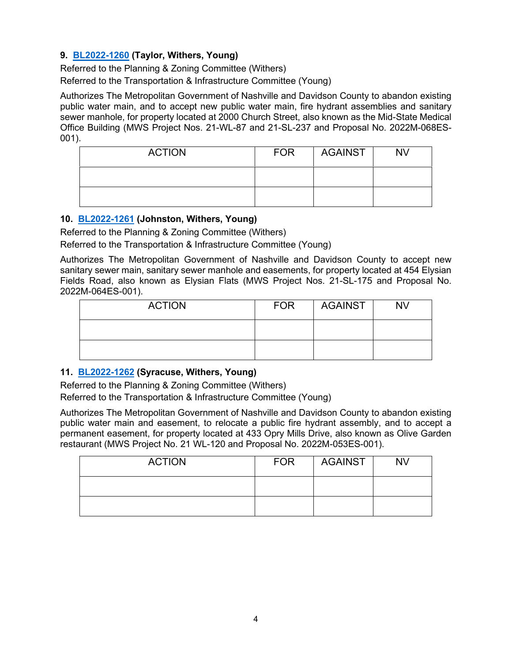# **9. [BL2022-1260](http://nashville.legistar.com/gateway.aspx?m=l&id=/matter.aspx?key=14469) (Taylor, Withers, Young)**

Referred to the Planning & Zoning Committee (Withers) Referred to the Transportation & Infrastructure Committee (Young)

Authorizes The Metropolitan Government of Nashville and Davidson County to abandon existing public water main, and to accept new public water main, fire hydrant assemblies and sanitary sewer manhole, for property located at 2000 Church Street, also known as the Mid-State Medical Office Building (MWS Project Nos. 21-WL-87 and 21-SL-237 and Proposal No. 2022M-068ES-001).

| <b>ACTION</b> | <b>FOR</b> | AGAINST | <b>NV</b> |
|---------------|------------|---------|-----------|
|               |            |         |           |
|               |            |         |           |

### **10. [BL2022-1261](http://nashville.legistar.com/gateway.aspx?m=l&id=/matter.aspx?key=14470) (Johnston, Withers, Young)**

Referred to the Planning & Zoning Committee (Withers)

Referred to the Transportation & Infrastructure Committee (Young)

Authorizes The Metropolitan Government of Nashville and Davidson County to accept new sanitary sewer main, sanitary sewer manhole and easements, for property located at 454 Elysian Fields Road, also known as Elysian Flats (MWS Project Nos. 21-SL-175 and Proposal No. 2022M-064ES-001).

| <b>ACTION</b> | <b>FOR</b> | AGAINST | <b>NV</b> |
|---------------|------------|---------|-----------|
|               |            |         |           |
|               |            |         |           |

# **11. [BL2022-1262](http://nashville.legistar.com/gateway.aspx?m=l&id=/matter.aspx?key=14471) (Syracuse, Withers, Young)**

Referred to the Planning & Zoning Committee (Withers)

Referred to the Transportation & Infrastructure Committee (Young)

Authorizes The Metropolitan Government of Nashville and Davidson County to abandon existing public water main and easement, to relocate a public fire hydrant assembly, and to accept a permanent easement, for property located at 433 Opry Mills Drive, also known as Olive Garden restaurant (MWS Project No. 21 WL-120 and Proposal No. 2022M-053ES-001).

| <b>ACTION</b> | <b>FOR</b> | <b>AGAINST</b> | <b>NV</b> |
|---------------|------------|----------------|-----------|
|               |            |                |           |
|               |            |                |           |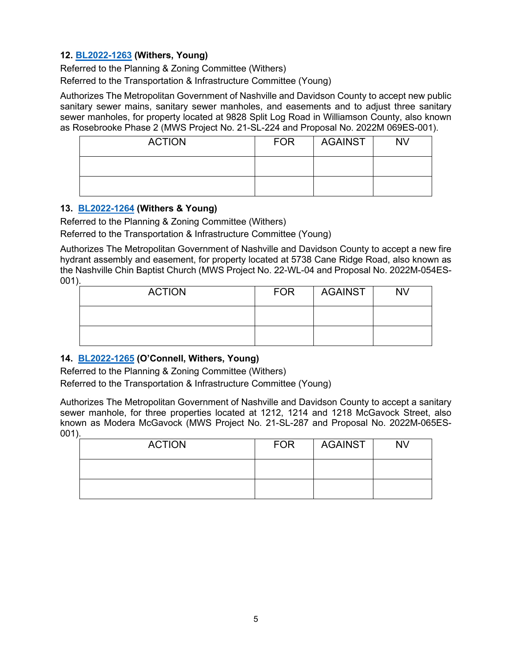### **12. [BL2022-1263](http://nashville.legistar.com/gateway.aspx?m=l&id=/matter.aspx?key=14472) (Withers, Young)**

Referred to the Planning & Zoning Committee (Withers) Referred to the Transportation & Infrastructure Committee (Young)

Authorizes The Metropolitan Government of Nashville and Davidson County to accept new public sanitary sewer mains, sanitary sewer manholes, and easements and to adjust three sanitary sewer manholes, for property located at 9828 Split Log Road in Williamson County, also known as Rosebrooke Phase 2 (MWS Project No. 21-SL-224 and Proposal No. 2022M 069ES-001).

| <b>ACTION</b> | <b>FOR</b> | <b>AGAINST</b> | NV |
|---------------|------------|----------------|----|
|               |            |                |    |
|               |            |                |    |

### **13. [BL2022-1264](http://nashville.legistar.com/gateway.aspx?m=l&id=/matter.aspx?key=14473) (Withers & Young)**

Referred to the Planning & Zoning Committee (Withers)

Referred to the Transportation & Infrastructure Committee (Young)

Authorizes The Metropolitan Government of Nashville and Davidson County to accept a new fire hydrant assembly and easement, for property located at 5738 Cane Ridge Road, also known as the Nashville Chin Baptist Church (MWS Project No. 22-WL-04 and Proposal No. 2022M-054ES-001).

| <b>ACTION</b> | <b>FOR</b> | <b>AGAINST</b> | <b>NV</b> |
|---------------|------------|----------------|-----------|
|               |            |                |           |
|               |            |                |           |

# **14. [BL2022-1265](http://nashville.legistar.com/gateway.aspx?m=l&id=/matter.aspx?key=14474) (O'Connell, Withers, Young)**

Referred to the Planning & Zoning Committee (Withers) Referred to the Transportation & Infrastructure Committee (Young)

Authorizes The Metropolitan Government of Nashville and Davidson County to accept a sanitary sewer manhole, for three properties located at 1212, 1214 and 1218 McGavock Street, also known as Modera McGavock (MWS Project No. 21-SL-287 and Proposal No. 2022M-065ES-001).

| <b>ACTION</b> | <b>FOR</b> | AGAINST | <b>NV</b> |
|---------------|------------|---------|-----------|
|               |            |         |           |
|               |            |         |           |